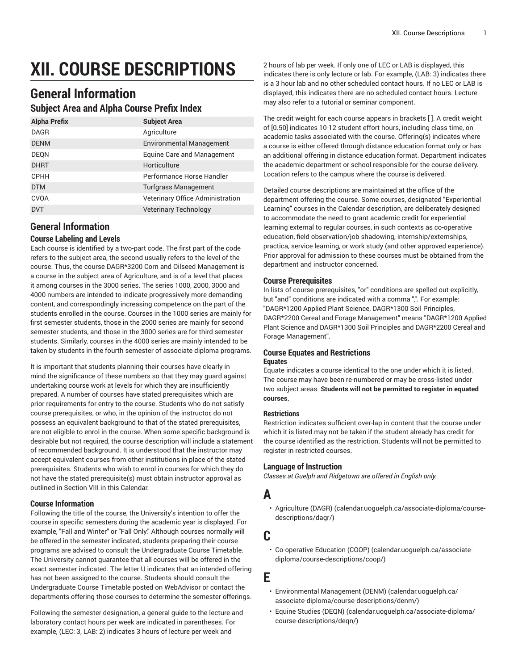# **XII. COURSE DESCRIPTIONS**

# **General Information**

### **Subject Area and Alpha Course Prefix Index**

| <b>Alpha Prefix</b> | <b>Subject Area</b>              |
|---------------------|----------------------------------|
| <b>DAGR</b>         | Agriculture                      |
| <b>DENM</b>         | <b>Environmental Management</b>  |
| DEQN                | Equine Care and Management       |
| <b>DHRT</b>         | Horticulture                     |
| <b>CPHH</b>         | Performance Horse Handler        |
| <b>DTM</b>          | <b>Turfgrass Management</b>      |
| <b>CVOA</b>         | Veterinary Office Administration |
| <b>DVT</b>          | <b>Veterinary Technology</b>     |

# **General Information**

#### **Course Labeling and Levels**

Each course is identified by a two-part code. The first part of the code refers to the subject area, the second usually refers to the level of the course. Thus, the course DAGR\*3200 Corn and Oilseed Management is a course in the subject area of Agriculture, and is of a level that places it among courses in the 3000 series. The series 1000, 2000, 3000 and 4000 numbers are intended to indicate progressively more demanding content, and correspondingly increasing competence on the part of the students enrolled in the course. Courses in the 1000 series are mainly for first semester students, those in the 2000 series are mainly for second semester students, and those in the 3000 series are for third semester students. Similarly, courses in the 4000 series are mainly intended to be taken by students in the fourth semester of associate diploma programs.

It is important that students planning their courses have clearly in mind the significance of these numbers so that they may guard against undertaking course work at levels for which they are insufficiently prepared. A number of courses have stated prerequisites which are prior requirements for entry to the course. Students who do not satisfy course prerequisites, or who, in the opinion of the instructor, do not possess an equivalent background to that of the stated prerequisites, are not eligible to enrol in the course. When some specific background is desirable but not required, the course description will include a statement of recommended background. It is understood that the instructor may accept equivalent courses from other institutions in place of the stated prerequisites. Students who wish to enrol in courses for which they do not have the stated prerequisite(s) must obtain instructor approval as outlined in Section VIII in this Calendar.

#### **Course Information**

Following the title of the course, the University's intention to offer the course in specific semesters during the academic year is displayed. For example, "Fall and Winter" or "Fall Only." Although courses normally will be offered in the semester indicated, students preparing their course programs are advised to consult the Undergraduate Course Timetable. The University cannot guarantee that all courses will be offered in the exact semester indicated. The letter U indicates that an intended offering has not been assigned to the course. Students should consult the Undergraduate Course Timetable posted on WebAdvisor or contact the departments offering those courses to determine the semester offerings.

Following the semester designation, a general guide to the lecture and laboratory contact hours per week are indicated in parentheses. For example, (LEC: 3, LAB: 2) indicates 3 hours of lecture per week and

2 hours of lab per week. If only one of LEC or LAB is displayed, this indicates there is only lecture or lab. For example, (LAB: 3) indicates there is a 3 hour lab and no other scheduled contact hours. If no LEC or LAB is displayed, this indicates there are no scheduled contact hours. Lecture may also refer to a tutorial or seminar component.

The credit weight for each course appears in brackets [ ]. A credit weight of [0.50] indicates 10-12 student effort hours, including class time, on academic tasks associated with the course. Offering(s) indicates where a course is either offered through distance education format only or has an additional offering in distance education format. Department indicates the academic department or school responsible for the course delivery. Location refers to the campus where the course is delivered.

Detailed course descriptions are maintained at the office of the department offering the course. Some courses, designated "Experiential Learning" courses in the Calendar description, are deliberately designed to accommodate the need to grant academic credit for experiential learning external to regular courses, in such contexts as co-operative education, field observation/job shadowing, internship/externships, practica, service learning, or work study (and other approved experience). Prior approval for admission to these courses must be obtained from the department and instructor concerned.

#### **Course Prerequisites**

In lists of course prerequisites, "or" conditions are spelled out explicitly, but "and" conditions are indicated with a comma ",". For example: "DAGR\*1200 Applied Plant Science, DAGR\*1300 Soil Principles, DAGR\*2200 Cereal and Forage Management" means "DAGR\*1200 Applied Plant Science and DAGR\*1300 Soil Principles and DAGR\*2200 Cereal and Forage Management".

#### **Course Equates and Restrictions**

#### **Equates**

Equate indicates a course identical to the one under which it is listed. The course may have been re-numbered or may be cross-listed under two subject areas. **Students will not be permitted to register in equated courses.**

#### **Restrictions**

Restriction indicates sufficient over-lap in content that the course under which it is listed may not be taken if the student already has credit for the course identified as the restriction. Students will not be permitted to register in restricted courses.

#### **Language of Instruction**

*Classes at Guelph and Ridgetown are offered in English only.*

# **A**

• [Agriculture](��fz�
nğ:�ĺƶ�*)faO���>�e��*�K�%�½����B�D_F���qƹ͚<D) (DAGR) ([calendar.uoguelph.ca/associate-diploma/course](��fz�
nğ:�ĺƶ�*)faO���>�e��*�K�%�½����B�D_F���qƹ͚<D)[descriptions/dagr/\)](��fz�
nğ:�ĺƶ�*)faO���>�e��*�K�%�½����B�D_F���qƹ͚<D)

# **C**

• [Co-operative](�k��Aџ)�.��
n��fٖ�B4~��-@C �Q>$��O�|^����e^_����) Education (COOP) ([calendar.uoguelph.ca/associate](�k��Aџ)�.��
n��fٖ�B4~��-@C �Q>$��O�|^����e^_����)[diploma/course-descriptions/coop/](�k��Aџ)�.��
n��fٖ�B4~��-@C �Q>$��O�|^����e^_����))

# **E**

- [Environmental](:a� G���]�\��L�޻,���d8���in�>��i,;�e��� V�:�M?) Management (DENM) ([calendar.uoguelph.ca/](:a� G���]�\��L�޻,���d8���in�>��i,;�e��� V�:�M?) [associate-diploma/course-descriptions/denm/\)](:a� G���]�\��L�޻,���d8���in�>��i,;�e��� V�:�M?)
- Equine [Studies](`�$���HH���.���_@>������"i�rXn��m) (DEQN) [\(calendar.uoguelph.ca/associate-diploma/](`�$���HH���.���_@>������"i�rXn��m) [course-descriptions/deqn/](`�$���HH���.���_@>������"i�rXn��m))